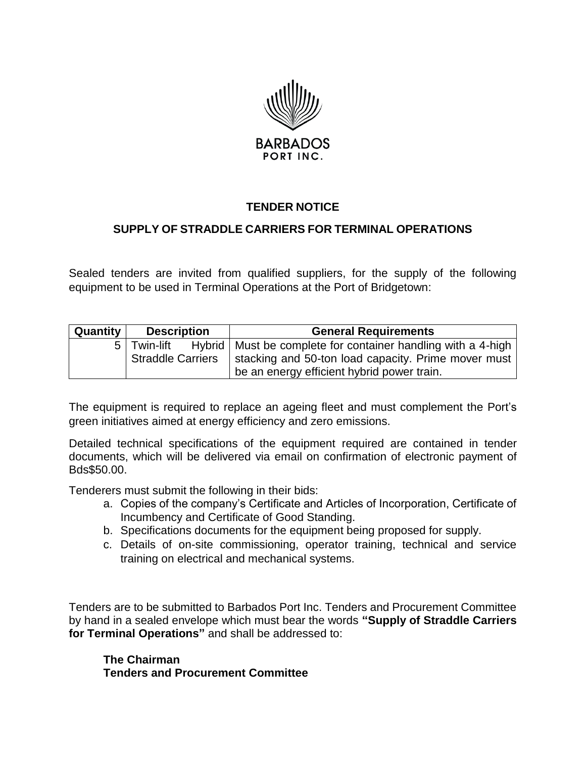

## **TENDER NOTICE**

## **SUPPLY OF STRADDLE CARRIERS FOR TERMINAL OPERATIONS**

Sealed tenders are invited from qualified suppliers, for the supply of the following equipment to be used in Terminal Operations at the Port of Bridgetown:

| Quantity | <b>Description</b>       | <b>General Requirements</b>                                              |
|----------|--------------------------|--------------------------------------------------------------------------|
| 5 I      |                          | Twin-lift Hybrid   Must be complete for container handling with a 4-high |
|          | <b>Straddle Carriers</b> | stacking and 50-ton load capacity. Prime mover must                      |
|          |                          | be an energy efficient hybrid power train.                               |

The equipment is required to replace an ageing fleet and must complement the Port's green initiatives aimed at energy efficiency and zero emissions.

Detailed technical specifications of the equipment required are contained in tender documents, which will be delivered via email on confirmation of electronic payment of Bds\$50.00.

Tenderers must submit the following in their bids:

- a. Copies of the company's Certificate and Articles of Incorporation, Certificate of Incumbency and Certificate of Good Standing.
- b. Specifications documents for the equipment being proposed for supply.
- c. Details of on-site commissioning, operator training, technical and service training on electrical and mechanical systems.

Tenders are to be submitted to Barbados Port Inc. Tenders and Procurement Committee by hand in a sealed envelope which must bear the words **"Supply of Straddle Carriers for Terminal Operations"** and shall be addressed to:

**The Chairman Tenders and Procurement Committee**